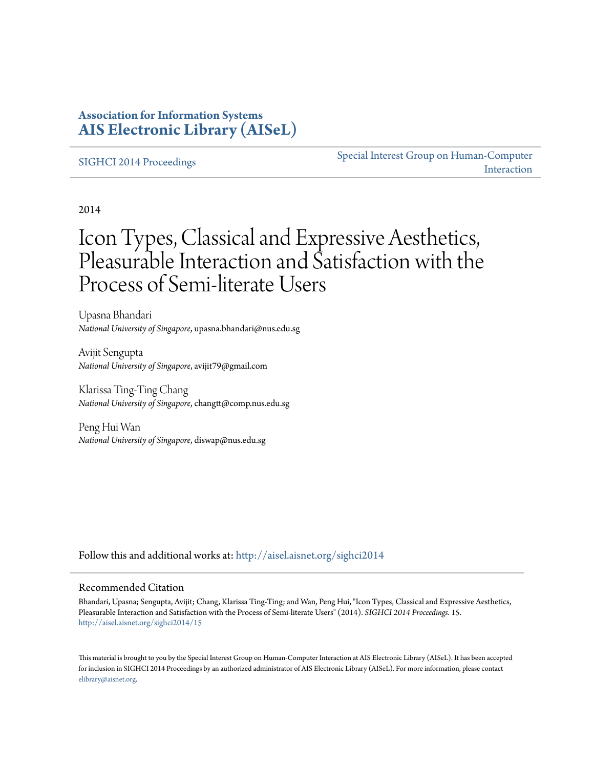### **Association for Information Systems [AIS Electronic Library \(AISeL\)](http://aisel.aisnet.org?utm_source=aisel.aisnet.org%2Fsighci2014%2F15&utm_medium=PDF&utm_campaign=PDFCoverPages)**

#### [SIGHCI 2014 Proceedings](http://aisel.aisnet.org/sighci2014?utm_source=aisel.aisnet.org%2Fsighci2014%2F15&utm_medium=PDF&utm_campaign=PDFCoverPages)

[Special Interest Group on Human-Computer](http://aisel.aisnet.org/sighci?utm_source=aisel.aisnet.org%2Fsighci2014%2F15&utm_medium=PDF&utm_campaign=PDFCoverPages) [Interaction](http://aisel.aisnet.org/sighci?utm_source=aisel.aisnet.org%2Fsighci2014%2F15&utm_medium=PDF&utm_campaign=PDFCoverPages)

2014

# Icon Types, Classical and Expressive Aesthetics, Pleasurable Interaction and Satisfaction with the Process of Semi-literate Users

Upasna Bhandari *National University of Singapore*, upasna.bhandari@nus.edu.sg

Avijit Sengupta *National University of Singapore*, avijit79@gmail.com

Klarissa Ting-Ting Chang *National University of Singapore*, changtt@comp.nus.edu.sg

Peng Hui Wan *National University of Singapore*, diswap@nus.edu.sg

Follow this and additional works at: [http://aisel.aisnet.org/sighci2014](http://aisel.aisnet.org/sighci2014?utm_source=aisel.aisnet.org%2Fsighci2014%2F15&utm_medium=PDF&utm_campaign=PDFCoverPages)

#### Recommended Citation

Bhandari, Upasna; Sengupta, Avijit; Chang, Klarissa Ting-Ting; and Wan, Peng Hui, "Icon Types, Classical and Expressive Aesthetics, Pleasurable Interaction and Satisfaction with the Process of Semi-literate Users" (2014). *SIGHCI 2014 Proceedings*. 15. [http://aisel.aisnet.org/sighci2014/15](http://aisel.aisnet.org/sighci2014/15?utm_source=aisel.aisnet.org%2Fsighci2014%2F15&utm_medium=PDF&utm_campaign=PDFCoverPages)

This material is brought to you by the Special Interest Group on Human-Computer Interaction at AIS Electronic Library (AISeL). It has been accepted for inclusion in SIGHCI 2014 Proceedings by an authorized administrator of AIS Electronic Library (AISeL). For more information, please contact [elibrary@aisnet.org.](mailto:elibrary@aisnet.org%3E)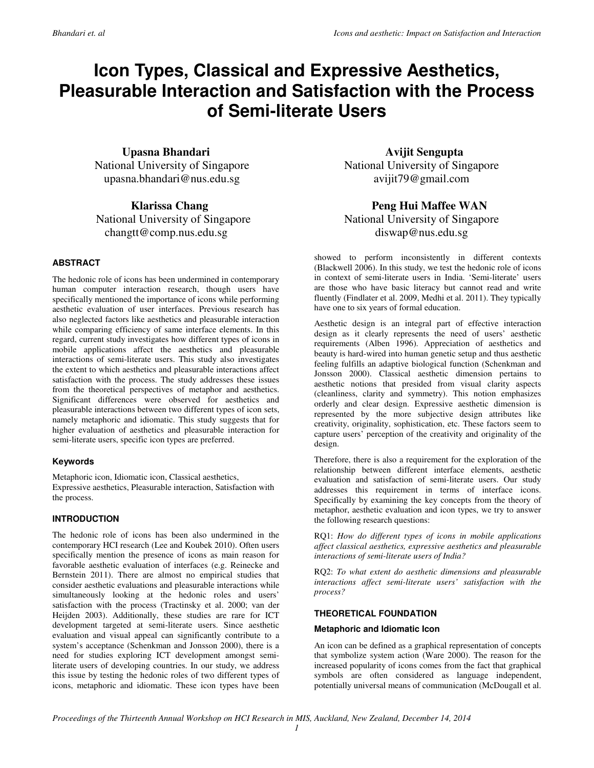## **Icon Types, Classical and Expressive Aesthetics, Pleasurable Interaction and Satisfaction with the Process of Semi-literate Users**

 **Upasna Bhandari**  National University of Singapore upasna.bhandari@nus.edu.sg

 **Klarissa Chang**  National University of Singapore changtt@comp.nus.edu.sg

#### **ABSTRACT**

The hedonic role of icons has been undermined in contemporary human computer interaction research, though users have specifically mentioned the importance of icons while performing aesthetic evaluation of user interfaces. Previous research has also neglected factors like aesthetics and pleasurable interaction while comparing efficiency of same interface elements. In this regard, current study investigates how different types of icons in mobile applications affect the aesthetics and pleasurable interactions of semi-literate users. This study also investigates the extent to which aesthetics and pleasurable interactions affect satisfaction with the process. The study addresses these issues from the theoretical perspectives of metaphor and aesthetics. Significant differences were observed for aesthetics and pleasurable interactions between two different types of icon sets, namely metaphoric and idiomatic. This study suggests that for higher evaluation of aesthetics and pleasurable interaction for semi-literate users, specific icon types are preferred.

#### **Keywords**

Metaphoric icon, Idiomatic icon, Classical aesthetics, Expressive aesthetics, Pleasurable interaction, Satisfaction with the process.

#### **INTRODUCTION**

The hedonic role of icons has been also undermined in the contemporary HCI research (Lee and Koubek 2010). Often users specifically mention the presence of icons as main reason for favorable aesthetic evaluation of interfaces (e.g. Reinecke and Bernstein 2011). There are almost no empirical studies that consider aesthetic evaluations and pleasurable interactions while simultaneously looking at the hedonic roles and users' satisfaction with the process (Tractinsky et al. 2000; van der Heijden 2003). Additionally, these studies are rare for ICT development targeted at semi-literate users. Since aesthetic evaluation and visual appeal can significantly contribute to a system's acceptance (Schenkman and Jonsson 2000), there is a need for studies exploring ICT development amongst semiliterate users of developing countries. In our study, we address this issue by testing the hedonic roles of two different types of icons, metaphoric and idiomatic. These icon types have been

 **Avijit Sengupta**  National University of Singapore avijit79@gmail.com

#### **Peng Hui Maffee WAN**  National University of Singapore diswap@nus.edu.sg

showed to perform inconsistently in different contexts (Blackwell 2006). In this study, we test the hedonic role of icons in context of semi-literate users in India. 'Semi-literate' users are those who have basic literacy but cannot read and write fluently (Findlater et al. 2009, Medhi et al. 2011). They typically have one to six years of formal education.

Aesthetic design is an integral part of effective interaction design as it clearly represents the need of users' aesthetic requirements (Alben 1996). Appreciation of aesthetics and beauty is hard-wired into human genetic setup and thus aesthetic feeling fulfills an adaptive biological function (Schenkman and Jonsson 2000). Classical aesthetic dimension pertains to aesthetic notions that presided from visual clarity aspects (cleanliness, clarity and symmetry). This notion emphasizes orderly and clear design. Expressive aesthetic dimension is represented by the more subjective design attributes like creativity, originality, sophistication, etc. These factors seem to capture users' perception of the creativity and originality of the design.

Therefore, there is also a requirement for the exploration of the relationship between different interface elements, aesthetic evaluation and satisfaction of semi-literate users. Our study addresses this requirement in terms of interface icons. Specifically by examining the key concepts from the theory of metaphor, aesthetic evaluation and icon types, we try to answer the following research questions:

RQ1: *How do different types of icons in mobile applications affect classical aesthetics, expressive aesthetics and pleasurable interactions of semi-literate users of India?*

RQ2: *To what extent do aesthetic dimensions and pleasurable interactions affect semi-literate users' satisfaction with the process?*

#### **THEORETICAL FOUNDATION**

#### **Metaphoric and Idiomatic Icon**

An icon can be defined as a graphical representation of concepts that symbolize system action (Ware 2000). The reason for the increased popularity of icons comes from the fact that graphical symbols are often considered as language independent, potentially universal means of communication (McDougall et al.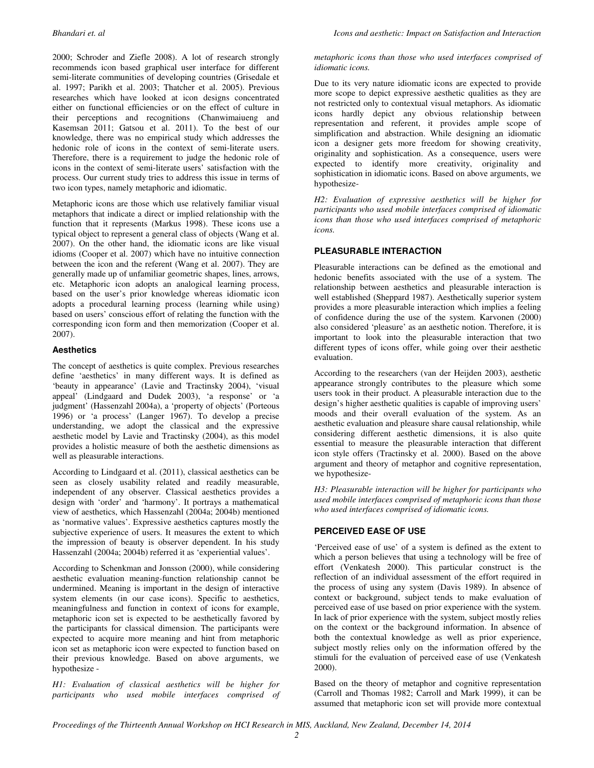2000; Schroder and Ziefle 2008). A lot of research strongly recommends icon based graphical user interface for different semi-literate communities of developing countries (Grisedale et al. 1997; Parikh et al. 2003; Thatcher et al. 2005). Previous researches which have looked at icon designs concentrated either on functional efficiencies or on the effect of culture in their perceptions and recognitions (Chanwimaiueng and Kasemsan 2011; Gatsou et al. 2011). To the best of our knowledge, there was no empirical study which addresses the hedonic role of icons in the context of semi-literate users. Therefore, there is a requirement to judge the hedonic role of icons in the context of semi-literate users' satisfaction with the process. Our current study tries to address this issue in terms of two icon types, namely metaphoric and idiomatic.

Metaphoric icons are those which use relatively familiar visual metaphors that indicate a direct or implied relationship with the function that it represents (Markus 1998). These icons use a typical object to represent a general class of objects (Wang et al. 2007). On the other hand, the idiomatic icons are like visual idioms (Cooper et al. 2007) which have no intuitive connection between the icon and the referent (Wang et al. 2007). They are generally made up of unfamiliar geometric shapes, lines, arrows, etc. Metaphoric icon adopts an analogical learning process, based on the user's prior knowledge whereas idiomatic icon adopts a procedural learning process (learning while using) based on users' conscious effort of relating the function with the corresponding icon form and then memorization (Cooper et al. 2007).

#### **Aesthetics**

The concept of aesthetics is quite complex. Previous researches define 'aesthetics' in many different ways. It is defined as 'beauty in appearance' (Lavie and Tractinsky 2004), 'visual appeal' (Lindgaard and Dudek 2003), 'a response' or 'a judgment' (Hassenzahl 2004a), a 'property of objects' (Porteous 1996) or 'a process' (Langer 1967). To develop a precise understanding, we adopt the classical and the expressive aesthetic model by Lavie and Tractinsky (2004), as this model provides a holistic measure of both the aesthetic dimensions as well as pleasurable interactions.

According to Lindgaard et al. (2011), classical aesthetics can be seen as closely usability related and readily measurable, independent of any observer. Classical aesthetics provides a design with 'order' and 'harmony'. It portrays a mathematical view of aesthetics, which Hassenzahl (2004a; 2004b) mentioned as 'normative values'. Expressive aesthetics captures mostly the subjective experience of users. It measures the extent to which the impression of beauty is observer dependent. In his study Hassenzahl (2004a; 2004b) referred it as 'experiential values'.

According to Schenkman and Jonsson (2000), while considering aesthetic evaluation meaning-function relationship cannot be undermined. Meaning is important in the design of interactive system elements (in our case icons). Specific to aesthetics, meaningfulness and function in context of icons for example, metaphoric icon set is expected to be aesthetically favored by the participants for classical dimension. The participants were expected to acquire more meaning and hint from metaphoric icon set as metaphoric icon were expected to function based on their previous knowledge. Based on above arguments, we hypothesize -

*H1: Evaluation of classical aesthetics will be higher for participants who used mobile interfaces comprised of* 

#### *metaphoric icons than those who used interfaces comprised of idiomatic icons.*

Due to its very nature idiomatic icons are expected to provide more scope to depict expressive aesthetic qualities as they are not restricted only to contextual visual metaphors. As idiomatic icons hardly depict any obvious relationship between representation and referent, it provides ample scope of simplification and abstraction. While designing an idiomatic icon a designer gets more freedom for showing creativity, originality and sophistication. As a consequence, users were expected to identify more creativity, originality and sophistication in idiomatic icons. Based on above arguments, we hypothesize-

*H2: Evaluation of expressive aesthetics will be higher for participants who used mobile interfaces comprised of idiomatic icons than those who used interfaces comprised of metaphoric icons.* 

#### **PLEASURABLE INTERACTION**

Pleasurable interactions can be defined as the emotional and hedonic benefits associated with the use of a system. The relationship between aesthetics and pleasurable interaction is well established (Sheppard 1987). Aesthetically superior system provides a more pleasurable interaction which implies a feeling of confidence during the use of the system. Karvonen (2000) also considered 'pleasure' as an aesthetic notion. Therefore, it is important to look into the pleasurable interaction that two different types of icons offer, while going over their aesthetic evaluation.

According to the researchers (van der Heijden 2003), aesthetic appearance strongly contributes to the pleasure which some users took in their product. A pleasurable interaction due to the design's higher aesthetic qualities is capable of improving users' moods and their overall evaluation of the system. As an aesthetic evaluation and pleasure share causal relationship, while considering different aesthetic dimensions, it is also quite essential to measure the pleasurable interaction that different icon style offers (Tractinsky et al. 2000). Based on the above argument and theory of metaphor and cognitive representation, we hypothesize-

*H3: Pleasurable interaction will be higher for participants who used mobile interfaces comprised of metaphoric icons than those who used interfaces comprised of idiomatic icons.* 

#### **PERCEIVED EASE OF USE**

'Perceived ease of use' of a system is defined as the extent to which a person believes that using a technology will be free of effort (Venkatesh 2000). This particular construct is the reflection of an individual assessment of the effort required in the process of using any system (Davis 1989). In absence of context or background, subject tends to make evaluation of perceived ease of use based on prior experience with the system. In lack of prior experience with the system, subject mostly relies on the context or the background information. In absence of both the contextual knowledge as well as prior experience, subject mostly relies only on the information offered by the stimuli for the evaluation of perceived ease of use (Venkatesh 2000).

Based on the theory of metaphor and cognitive representation (Carroll and Thomas 1982; Carroll and Mark 1999), it can be assumed that metaphoric icon set will provide more contextual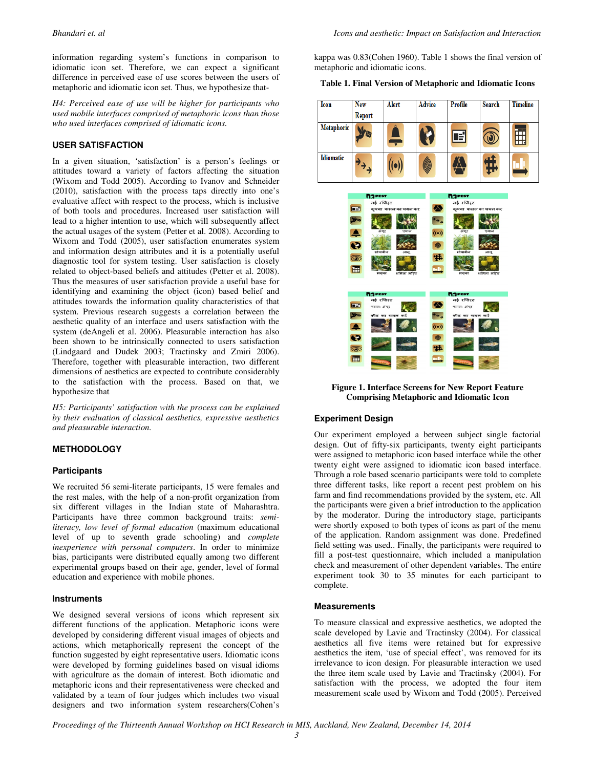information regarding system's functions in comparison to idiomatic icon set. Therefore, we can expect a significant difference in perceived ease of use scores between the users of metaphoric and idiomatic icon set. Thus, we hypothesize that-

*H4: Perceived ease of use will be higher for participants who used mobile interfaces comprised of metaphoric icons than those who used interfaces comprised of idiomatic icons.* 

#### **USER SATISFACTION**

In a given situation, 'satisfaction' is a person's feelings or attitudes toward a variety of factors affecting the situation (Wixom and Todd 2005). According to Ivanov and Schneider (2010), satisfaction with the process taps directly into one's evaluative affect with respect to the process, which is inclusive of both tools and procedures. Increased user satisfaction will lead to a higher intention to use, which will subsequently affect the actual usages of the system (Petter et al. 2008). According to Wixom and Todd (2005), user satisfaction enumerates system and information design attributes and it is a potentially useful diagnostic tool for system testing. User satisfaction is closely related to object-based beliefs and attitudes (Petter et al. 2008). Thus the measures of user satisfaction provide a useful base for identifying and examining the object (icon) based belief and attitudes towards the information quality characteristics of that system. Previous research suggests a correlation between the aesthetic quality of an interface and users satisfaction with the system (deAngeli et al. 2006). Pleasurable interaction has also been shown to be intrinsically connected to users satisfaction (Lindgaard and Dudek 2003; Tractinsky and Zmiri 2006). Therefore, together with pleasurable interaction, two different dimensions of aesthetics are expected to contribute considerably to the satisfaction with the process. Based on that, we hypothesize that

*H5: Participants' satisfaction with the process can be explained by their evaluation of classical aesthetics, expressive aesthetics and pleasurable interaction.* 

#### **METHODOLOGY**

#### **Participants**

We recruited 56 semi-literate participants, 15 were females and the rest males, with the help of a non-profit organization from six different villages in the Indian state of Maharashtra. Participants have three common background traits: *semiliteracy, low level of formal education* (maximum educational level of up to seventh grade schooling) and *complete inexperience with personal computers*. In order to minimize bias, participants were distributed equally among two different experimental groups based on their age, gender, level of formal education and experience with mobile phones.

#### **Instruments**

We designed several versions of icons which represent six different functions of the application. Metaphoric icons were developed by considering different visual images of objects and actions, which metaphorically represent the concept of the function suggested by eight representative users. Idiomatic icons were developed by forming guidelines based on visual idioms with agriculture as the domain of interest. Both idiomatic and metaphoric icons and their representativeness were checked and validated by a team of four judges which includes two visual designers and two information system researchers(Cohen's kappa was 0.83(Cohen 1960). Table 1 shows the final version of metaphoric and idiomatic icons.

#### **Table 1. Final Version of Metaphoric and Idiomatic Icons**

| Icon             | <b>New</b>           |                | Alert               | <b>Advice</b> |                             | <b>Profile</b>  | <b>Search</b>       | <b>Timeline</b> |
|------------------|----------------------|----------------|---------------------|---------------|-----------------------------|-----------------|---------------------|-----------------|
|                  |                      |                |                     |               |                             |                 |                     |                 |
|                  | Report               |                |                     |               |                             |                 |                     |                 |
| Metaphoric       |                      |                |                     |               |                             |                 |                     |                 |
|                  |                      |                |                     |               |                             | E               |                     |                 |
|                  |                      |                |                     |               |                             |                 |                     |                 |
| <b>Idiomatic</b> |                      |                |                     |               |                             |                 |                     |                 |
|                  | $\overrightarrow{a}$ |                |                     |               |                             |                 |                     |                 |
|                  |                      |                |                     |               |                             |                 |                     |                 |
|                  |                      |                |                     |               |                             |                 |                     |                 |
|                  |                      | <b>N</b> GPEST |                     |               |                             | <b>N</b> GPEST  |                     |                 |
|                  |                      | नई रपोिरट      |                     |               |                             | नई रपोिरट       |                     |                 |
|                  | $E = 1$              |                | कृपया फसल का चयन कर |               | ♨                           |                 | कृपया फसल का चयन कर |                 |
|                  |                      |                |                     |               |                             |                 |                     |                 |
|                  | Y                    |                |                     |               | $\rightarrow$ $\rightarrow$ |                 |                     |                 |
|                  | $\triangle$          | अंगूर          | पयाज                |               | ((•))                       | अंगूर           | पयाज                |                 |
|                  |                      |                |                     |               |                             |                 |                     |                 |
|                  | Ø                    | सोयाबीन        | आल                  |               | $\bullet$                   | सोयाबीन         | आल                  |                 |
|                  | O                    |                |                     |               | #                           |                 |                     |                 |
|                  |                      |                |                     |               |                             |                 |                     |                 |
|                  | 圃                    | मकुका          | शमिला मरिच          |               | ÷                           | मक्का           | शमिला मरिच          |                 |
|                  |                      |                |                     |               |                             |                 |                     |                 |
|                  |                      | <b>NGPEST</b>  |                     |               |                             | <b>NGPEST</b>   |                     |                 |
|                  |                      | नई रप्तिरट     |                     |               |                             | नई रपिौर्       |                     |                 |
|                  | E                    | फसल: अंगूर     |                     |               | չ                           | फसल: अंगूर      |                     |                 |
|                  | $\frac{1}{2}$        |                | कीट का चयन करें     |               | $\overline{\mathcal{F}}$    | कीट का चयन करें |                     |                 |
|                  | $\blacktriangle$     |                |                     |               | $(\textbf{(-))}$            |                 |                     |                 |
|                  | Ø                    |                |                     |               | $\bullet$                   |                 |                     |                 |
|                  | O)                   |                |                     |               | 11.                         |                 |                     |                 |
|                  | 圃                    |                |                     |               | ek,                         |                 |                     |                 |

**Figure 1. Interface Screens for New Report Feature Comprising Metaphoric and Idiomatic Icon** 

#### **Experiment Design**

Our experiment employed a between subject single factorial design. Out of fifty-six participants, twenty eight participants were assigned to metaphoric icon based interface while the other twenty eight were assigned to idiomatic icon based interface. Through a role based scenario participants were told to complete three different tasks, like report a recent pest problem on his farm and find recommendations provided by the system, etc. All the participants were given a brief introduction to the application by the moderator. During the introductory stage, participants were shortly exposed to both types of icons as part of the menu of the application. Random assignment was done. Predefined field setting was used.. Finally, the participants were required to fill a post-test questionnaire, which included a manipulation check and measurement of other dependent variables. The entire experiment took 30 to 35 minutes for each participant to complete.

#### **Measurements**

To measure classical and expressive aesthetics, we adopted the scale developed by Lavie and Tractinsky (2004). For classical aesthetics all five items were retained but for expressive aesthetics the item, 'use of special effect', was removed for its irrelevance to icon design. For pleasurable interaction we used the three item scale used by Lavie and Tractinsky (2004). For satisfaction with the process, we adopted the four item measurement scale used by Wixom and Todd (2005). Perceived

*Proceedings of the Thirteenth Annual Workshop on HCI Research in MIS, Auckland, New Zealand, December 14, 2014*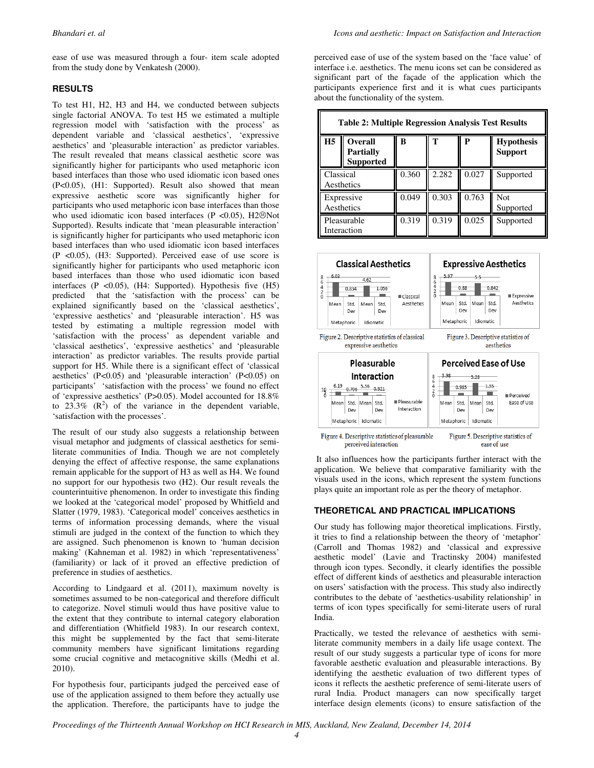ease of use was measured through a four- item scale adopted from the study done by Venkatesh (2000).

#### **RESULTS**

To test H1, H2, H3 and H4, we conducted between subjects single factorial ANOVA. To test H5 we estimated a multiple regression model with 'satisfaction with the process' as dependent variable and 'classical aesthetics', 'expressive aesthetics' and 'pleasurable interaction' as predictor variables. The result revealed that means classical aesthetic score was significantly higher for participants who used metaphoric icon based interfaces than those who used idiomatic icon based ones (P<0.05), (H1: Supported). Result also showed that mean expressive aesthetic score was significantly higher for participants who used metaphoric icon base interfaces than those who used idiomatic icon based interfaces (P  $\lt$ 0.05), H2 $\odot$ Not Supported). Results indicate that 'mean pleasurable interaction' is significantly higher for participants who used metaphoric icon based interfaces than who used idiomatic icon based interfaces (P <0.05), (H3: Supported). Perceived ease of use score is significantly higher for participants who used metaphoric icon based interfaces than those who used idiomatic icon based interfaces  $(P \le 0.05)$ ,  $(H4: \text{Supported})$ . Hypothesis five  $(H5)$ predicted that the 'satisfaction with the process' can be explained significantly based on the 'classical aesthetics', 'expressive aesthetics' and 'pleasurable interaction'. H5 was tested by estimating a multiple regression model with 'satisfaction with the process' as dependent variable and 'classical aesthetics', 'expressive aesthetics' and 'pleasurable interaction' as predictor variables. The results provide partial support for H5. While there is a significant effect of 'classical aesthetics' (P<0.05) and 'pleasurable interaction' (P<0.05) on participants' 'satisfaction with the process' we found no effect of 'expressive aesthetics' (P>0.05). Model accounted for 18.8% to  $23.3\%$  ( $\mathbb{R}^2$ ) of the variance in the dependent variable, 'satisfaction with the processes'.

The result of our study also suggests a relationship between visual metaphor and judgments of classical aesthetics for semiliterate communities of India. Though we are not completely denying the effect of affective response, the same explanations remain applicable for the support of H3 as well as H4. We found no support for our hypothesis two (H2). Our result reveals the counterintuitive phenomenon. In order to investigate this finding we looked at the 'categorical model' proposed by Whitfield and Slatter (1979, 1983). 'Categorical model' conceives aesthetics in terms of information processing demands, where the visual stimuli are judged in the context of the function to which they are assigned. Such phenomenon is known to 'human decision making' (Kahneman et al. 1982) in which 'representativeness' (familiarity) or lack of it proved an effective prediction of preference in studies of aesthetics.

According to Lindgaard et al. (2011), maximum novelty is sometimes assumed to be non-categorical and therefore difficult to categorize. Novel stimuli would thus have positive value to the extent that they contribute to internal category elaboration and differentiation (Whitfield 1983). In our research context, this might be supplemented by the fact that semi-literate community members have significant limitations regarding some crucial cognitive and metacognitive skills (Medhi et al. 2010).

For hypothesis four, participants judged the perceived ease of use of the application assigned to them before they actually use the application. Therefore, the participants have to judge the perceived ease of use of the system based on the 'face value' of interface i.e. aesthetics. The menu icons set can be considered as significant part of the façade of the application which the participants experience first and it is what cues participants about the functionality of the system.

| <b>Table 2: Multiple Regression Analysis Test Results</b> |                                                        |       |       |       |                                     |  |  |  |  |
|-----------------------------------------------------------|--------------------------------------------------------|-------|-------|-------|-------------------------------------|--|--|--|--|
| H <sub>5</sub>                                            | <b>Overall</b><br><b>Partially</b><br><b>Supported</b> | R     | Т     | P     | <b>Hypothesis</b><br><b>Support</b> |  |  |  |  |
| Classical<br>Aesthetics                                   |                                                        | 0.360 | 2.282 | 0.027 | Supported                           |  |  |  |  |
| Expressive<br>Aesthetics                                  |                                                        | 0.049 | 0.303 | 0.763 | Not<br>Supported                    |  |  |  |  |
|                                                           | Pleasurable<br>Interaction                             | 0.319 | 0.319 | 0.025 | Supported                           |  |  |  |  |



 It also influences how the participants further interact with the application. We believe that comparative familiarity with the visuals used in the icons, which represent the system functions plays quite an important role as per the theory of metaphor.

#### **THEORETICAL AND PRACTICAL IMPLICATIONS**

Our study has following major theoretical implications. Firstly, it tries to find a relationship between the theory of 'metaphor' (Carroll and Thomas 1982) and 'classical and expressive aesthetic model' (Lavie and Tractinsky 2004) manifested through icon types. Secondly, it clearly identifies the possible effect of different kinds of aesthetics and pleasurable interaction on users' satisfaction with the process. This study also indirectly contributes to the debate of 'aesthetics-usability relationship' in terms of icon types specifically for semi-literate users of rural India.

Practically, we tested the relevance of aesthetics with semiliterate community members in a daily life usage context. The result of our study suggests a particular type of icons for more favorable aesthetic evaluation and pleasurable interactions. By identifying the aesthetic evaluation of two different types of icons it reflects the aesthetic preference of semi-literate users of rural India. Product managers can now specifically target interface design elements (icons) to ensure satisfaction of the

*Proceedings of the Thirteenth Annual Workshop on HCI Research in MIS, Auckland, New Zealand, December 14, 2014*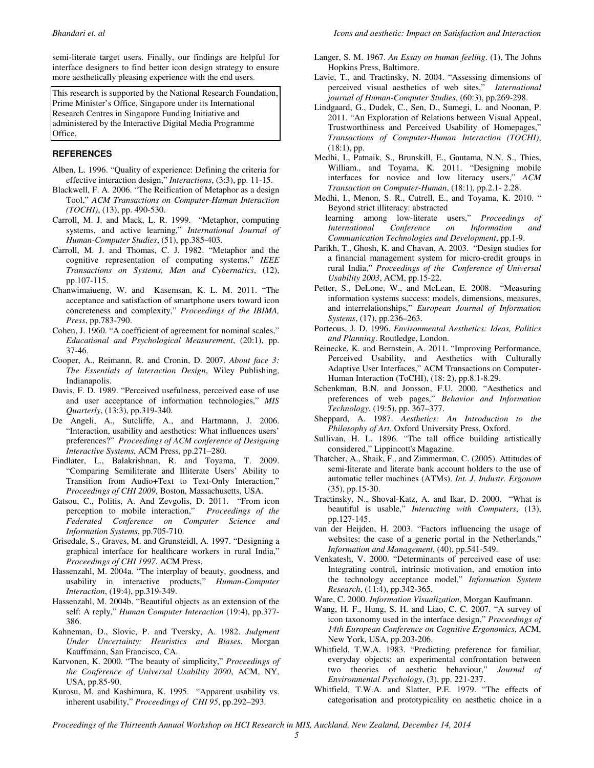**Bhandari et. al** Icons and aesthetic: Impact on Satisfaction and Interaction *Interaction* **Icons** and aesthetic: Impact on Satisfaction and Interaction

semi-literate target users. Finally, our findings are helpful for interface designers to find better icon design strategy to ensure more aesthetically pleasing experience with the end users.

This research is supported by the National Research Foundation, Prime Minister's Office, Singapore under its International Research Centres in Singapore Funding Initiative and administered by the Interactive Digital Media Programme Office. ֺ

#### **REFERENCES**

- Alben, L. 1996. "Quality of experience: Defining the criteria for effective interaction design," *Interactions*, (3:3), pp. 11-15.
- Blackwell, F. A. 2006. "The Reification of Metaphor as a design Tool," *ACM Transactions on Computer-Human Interaction (TOCHI)*, (13), pp. 490-530.
- Carroll, M. J. and Mack, L. R. 1999. "Metaphor, computing systems, and active learning," *International Journal of Human-Computer Studies*, (51), pp.385-403.
- Carroll, M. J. and Thomas, C. J. 1982. "Metaphor and the cognitive representation of computing systems," *IEEE Transactions on Systems, Man and Cybernatics*, (12), pp.107-115.
- Chanwimaiueng, W. and Kasemsan, K. L. M. 2011. "The acceptance and satisfaction of smartphone users toward icon concreteness and complexity," *Proceedings of the IBIMA, Press*, pp.783-790.
- Cohen, J. 1960. "A coefficient of agreement for nominal scales," *Educational and Psychological Measurement*, (20:1), pp. 37-46.
- Cooper, A., Reimann, R. and Cronin, D. 2007. *About face 3: The Essentials of Interaction Design*, Wiley Publishing, Indianapolis.
- Davis, F. D. 1989. "Perceived usefulness, perceived ease of use and user acceptance of information technologies," *MIS Quarterly*, (13:3), pp.319-340.
- De Angeli, A., Sutcliffe, A., and Hartmann, J. 2006. "Interaction, usability and aesthetics: What influences users' preferences?" *Proceedings of ACM conference of Designing Interactive Systems*, ACM Press, pp.271–280.
- Findlater, L., Balakrishnan, R. and Toyama, T. 2009. "Comparing Semiliterate and Illiterate Users' Ability to Transition from Audio+Text to Text-Only Interaction," *Proceedings of CHI 2009*, Boston, Massachusetts, USA.
- Gatsou, C., Politis, A. And Zevgolis, D. 2011. "From icon perception to mobile interaction," *Proceedings of the Federated Conference on Computer Science and Information Systems*, pp.705-710.
- Grisedale, S., Graves, M. and Grunsteidl, A. 1997. "Designing a graphical interface for healthcare workers in rural India," *Proceedings of CHI 1997*. ACM Press.
- Hassenzahl, M. 2004a. "The interplay of beauty, goodness, and usability in interactive products," *Human-Computer Interaction*, (19:4), pp.319-349.
- Hassenzahl, M. 2004b. "Beautiful objects as an extension of the self: A reply," *Human Computer Interaction* (19:4), pp.377- 386.
- Kahneman, D., Slovic, P. and Tversky, A. 1982. *Judgment Under Uncertainty: Heuristics and Biases*, Morgan Kauffmann, San Francisco, CA.
- Karvonen, K. 2000. "The beauty of simplicity," *Proceedings of the Conference of Universal Usability 2000*, ACM, NY, USA, pp.85-90.
- Kurosu, M. and Kashimura, K. 1995. "Apparent usability vs. inherent usability," *Proceedings of CHI 95*, pp.292–293.
- Langer, S. M. 1967. *An Essay on human feeling*. (1), The Johns Hopkins Press, Baltimore.
- Lavie, T., and Tractinsky, N. 2004. "Assessing dimensions of perceived visual aesthetics of web sites," *International journal of Human-Computer Studies*, (60:3), pp.269-298.
- Lindgaard, G., Dudek, C., Sen, D., Sumegi, L. and Noonan, P. 2011. "An Exploration of Relations between Visual Appeal, Trustworthiness and Perceived Usability of Homepages," *Transactions of Computer-Human Interaction (TOCHI)*, (18:1), pp.
- Medhi, I., Patnaik, S., Brunskill, E., Gautama, N.N. S., Thies, William., and Toyama, K. 2011. "Designing mobile interfaces for novice and low literacy users," *ACM Transaction on Computer-Human*, (18:1), pp.2.1- 2.28.
- Medhi, I., Menon, S. R., Cutrell, E., and Toyama, K. 2010. " Beyond strict illiteracy: abstracted
- learning among low-literate users," *Proceedings of International Conference on Information and Communication Technologies and Development*, pp.1-9.
- Parikh, T., Ghosh, K. and Chavan, A. 2003. "Design studies for a financial management system for micro-credit groups in rural India," *Proceedings of the Conference of Universal Usability 2003*, ACM, pp.15-22.
- Petter, S., DeLone, W., and McLean, E. 2008. "Measuring information systems success: models, dimensions, measures, and interrelationships," *European Journal of Information Systems*, (17), pp.236–263.
- Porteous, J. D. 1996. *Environmental Aesthetics: Ideas, Politics and Planning*. Routledge, London.
- Reinecke, K. and Bernstein, A. 2011. "Improving Performance, Perceived Usability, and Aesthetics with Culturally Adaptive User Interfaces," ACM Transactions on Computer-Human Interaction (ToCHI), (18: 2), pp.8.1-8.29.
- Schenkman, B.N. and Jonsson, F.U. 2000. "Aesthetics and preferences of web pages," *Behavior and Information Technology*, (19:5), pp. 367–377.
- Sheppard, A. 1987. *Aesthetics: An Introduction to the Philosophy of Art*. Oxford University Press, Oxford.
- Sullivan, H. L. 1896. "The tall office building artistically considered," Lippincott's Magazine.
- Thatcher, A., Shaik, F., and Zimmerman, C. (2005). Attitudes of semi-literate and literate bank account holders to the use of automatic teller machines (ATMs). *Int. J. Industr. Ergonom* (35), pp.15-30.
- Tractinsky, N., Shoval-Katz, A. and Ikar, D. 2000. "What is beautiful is usable," *Interacting with Computers*, (13), pp.127-145.
- van der Heijden, H. 2003. "Factors influencing the usage of websites: the case of a generic portal in the Netherlands," *Information and Management*, (40), pp.541-549.
- Venkatesh, V. 2000. "Determinants of perceived ease of use: Integrating control, intrinsic motivation, and emotion into the technology acceptance model," *Information System Research*, (11:4), pp.342-365.
- Ware, C. 2000. *Information Visualization*, Morgan Kaufmann.
- Wang, H. F., Hung, S. H. and Liao, C. C. 2007. "A survey of icon taxonomy used in the interface design," *Proceedings of 14th European Conference on Cognitive Ergonomics*, ACM, New York, USA, pp.203-206.
- Whitfield, T.W.A. 1983. "Predicting preference for familiar, everyday objects: an experimental confrontation between two theories of aesthetic behaviour," *Journal of Environmental Psychology*, (3), pp. 221-237.
- Whitfield, T.W.A. and Slatter, P.E. 1979. "The effects of categorisation and prototypicality on aesthetic choice in a

*Proceedings of the Thirteenth Annual Workshop on HCI Research in MIS, Auckland, New Zealand, December 14, 2014*